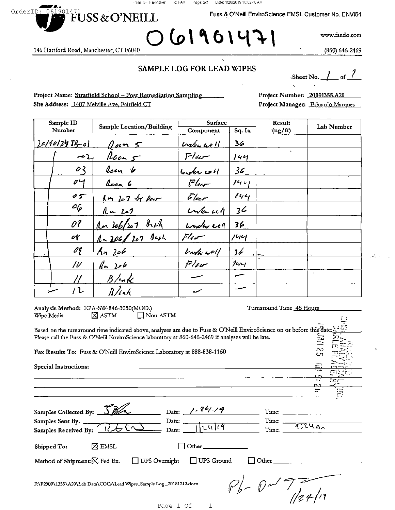From: GFI FaxMaker To: FAX Page: 2/3 Date: 1/28/2019 10:02:40 AM

619014

Fuss & O'Neill EnviroScience EMSL Customer No. ENVI54

146 Hartford Road, Manchester, CT 06040

OrderID: 061901471

www.fando.com

(860) 646-2469

#### SAMPLE LOG FOR LEAD WIPES

of  $\frac{7}{ }$ Sheet No.

Project Name: Stratfield School - Post Remediation Sampling Site Address: 1407 Melville Ave, Fairfield CT

FUSS & O'NEILL

Project Number: 20091355.A20 Project Manager: Eduardo Marques

| Sample ID      |                              | <b>Sample Location/Building</b> | Surface                         |                | Result          |              |
|----------------|------------------------------|---------------------------------|---------------------------------|----------------|-----------------|--------------|
| Number         |                              |                                 | Component                       | Sq. In         | $\gamma(ug/ft)$ | Lab Number   |
| $201902918-01$ |                              | $Q$ ocm $5$                     | $Undiv,$ 40 $1$                 | 36             |                 |              |
|                | $-2$                         | $lcm$ $5$                       | Flur                            | 144            | $\sim$          |              |
|                | O <sub>2</sub>               | Roan 6                          | $l_{v}$ $l_{v}$ $l_{v}$ $l_{v}$ | 36             |                 |              |
|                | 04                           | Room 6                          | Flier                           | $14 - 1$       |                 |              |
|                | 05                           | In 27 by Par                    | $F$ lec $r$                     | 144            |                 |              |
|                | $c_{\mathcal{G}}$            | $1 - 207$                       | when well                       | 3 <sub>6</sub> |                 |              |
|                | 07                           | an 206/207 Brah                 | Lunder cell                     | 36             |                 |              |
|                | or                           | $1 - 206/207$ Bash              | Flier                           | 144            |                 |              |
|                | $\mathscr{O}^{\mathsf{c}}_l$ | $An$ 206                        | <i><b>Under well</b></i>        | 36             | للأفاء          |              |
|                | $\mu$                        | $\ln 10$                        | Flor                            | 1              |                 |              |
|                |                              | $B$ /mk                         |                                 |                |                 | $\mathbf{z}$ |
|                | ′ 2                          | $R/\ln h$                       |                                 |                |                 |              |

| Analysis Method: EPA-SW-846-3050(MOD.)                                                                                                  | Turnaround Time 48 Hours                                                                                                                                                                                                                                                                                                                                                                                                                          |  |  |  |  |
|-----------------------------------------------------------------------------------------------------------------------------------------|---------------------------------------------------------------------------------------------------------------------------------------------------------------------------------------------------------------------------------------------------------------------------------------------------------------------------------------------------------------------------------------------------------------------------------------------------|--|--|--|--|
| $\Box$ Non ASTM<br>$\boxtimes$ astm<br>Wipe Media                                                                                       |                                                                                                                                                                                                                                                                                                                                                                                                                                                   |  |  |  |  |
| Based on the turnaround time indicated above, analyses are due to Fuss & O'Neill EnviroScience on or before this date:                  |                                                                                                                                                                                                                                                                                                                                                                                                                                                   |  |  |  |  |
| Please call the Fuss & O'Neill EnviroScience laboratory at 860-646-2469 if analyses will be late.                                       | 르                                                                                                                                                                                                                                                                                                                                                                                                                                                 |  |  |  |  |
| Fax Results To: Fuss & O'Neill EnviroScience Laboratory at 888-838-1160                                                                 | $\sim$<br>Cn                                                                                                                                                                                                                                                                                                                                                                                                                                      |  |  |  |  |
|                                                                                                                                         | <u>는</u>                                                                                                                                                                                                                                                                                                                                                                                                                                          |  |  |  |  |
|                                                                                                                                         | $\overline{1}$                                                                                                                                                                                                                                                                                                                                                                                                                                    |  |  |  |  |
|                                                                                                                                         | r.                                                                                                                                                                                                                                                                                                                                                                                                                                                |  |  |  |  |
|                                                                                                                                         | $\sim$<br>سناده                                                                                                                                                                                                                                                                                                                                                                                                                                   |  |  |  |  |
|                                                                                                                                         | Time: $\frac{1}{\sqrt{1-\frac{1}{2}} \cdot \frac{1}{\sqrt{1-\frac{1}{2}} \cdot \frac{1}{\sqrt{1-\frac{1}{2}} \cdot \frac{1}{\sqrt{1-\frac{1}{2}} \cdot \frac{1}{\sqrt{1-\frac{1}{2}} \cdot \frac{1}{\sqrt{1-\frac{1}{2}} \cdot \frac{1}{\sqrt{1-\frac{1}{2}} \cdot \frac{1}{\sqrt{1-\frac{1}{2}} \cdot \frac{1}{\sqrt{1-\frac{1}{2}} \cdot \frac{1}{\sqrt{1-\frac{1}{2}} \cdot \frac{1}{\sqrt{1-\frac{1}{2}} \cdot \frac{1}{\sqrt{1-\frac{1}{2}}$ |  |  |  |  |
| Samples Collected By: $\frac{S_{\cancel{BA}}}{\cancel{BA}}$ Date: $\frac{1.24-19}{\cancel{0}}$ Date: $\frac{1.24-19}{\cancel{0}}$ Date: | $Time:$ $9:140$<br>Time:                                                                                                                                                                                                                                                                                                                                                                                                                          |  |  |  |  |
| $\boxtimes$ EMSL<br>Shipped To:                                                                                                         |                                                                                                                                                                                                                                                                                                                                                                                                                                                   |  |  |  |  |
| Method of Shipment: $\boxtimes$ Fed Ex.<br>UPS Ground<br><b>UPS</b> Ovemight                                                            | Other                                                                                                                                                                                                                                                                                                                                                                                                                                             |  |  |  |  |

F:\P2009\1355\A20\Lab Data\COCs\Lead Wipes\_Sample Log\_20181212.docx

 $P_{b}$  -  $0$   $\sqrt{7}$  /27/17

Page 1 Of  $\,1\,$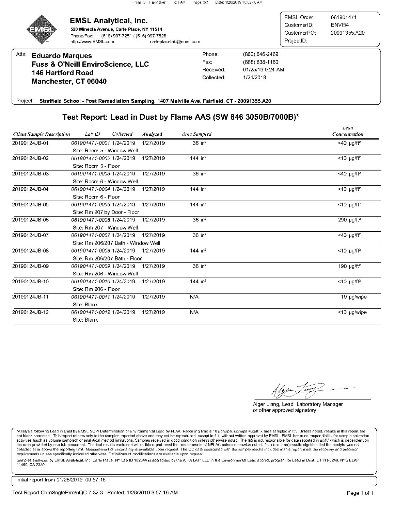

#### **EMSL Analytical, Inc.** 528 Mineola Avenue, Carle Place, NY 11514 Phone/Fax:

(516) 997-7251 / (516) 997-7528 http://www.EMSL.com carleplacelab@emsl.com

EMSL Order: 061901471 CustomerID: ENVI54 CustomerPO: 20091355.A20 ProjectID:

Attn: **Eduardo Marques Fuss & O'Neill EnviroScience, LLC 146 Hartford Road** Manchester, CT 06040

Phone: Fax: Received: Collected:

(860) 646-2469 (888) 838-1160 01/25/19 9:24 AM 1/24/2019

Project: Stratfield School - Post Remediation Sampling, 1407 Melville Ave, Fairfield, CT - 20091355.A20

# Test Report: Lead in Dust by Flame AAS (SW 846 3050B/7000B)\*

| <b>Client Sample Description</b> | Lab ID                        | Collected<br>Analyzed               | Area Sampled         | <b>Leau</b><br>Concentration |  |  |  |
|----------------------------------|-------------------------------|-------------------------------------|----------------------|------------------------------|--|--|--|
| 20190124JB-01                    | 061901471-0001 1/24/2019      | 1/27/2019                           | $36$ in <sup>2</sup> | <40 $\mu$ g/ft <sup>2</sup>  |  |  |  |
|                                  | Site: Room 5 - Window Well    |                                     |                      |                              |  |  |  |
| 20190124JB-02                    | 061901471-0002 1/24/2019      | 1/27/2019                           | 144 in $^2$          | $<$ 10 µg/ft <sup>2</sup>    |  |  |  |
|                                  | Site: Room 5 - Floor          |                                     |                      |                              |  |  |  |
| 20190124JB-03                    | 061901471-0003 1/24/2019      | 1/27/2019                           | $36$ in <sup>2</sup> | $<$ 40 µg/ft <sup>2</sup>    |  |  |  |
|                                  | Site: Room 6 - Window Well    |                                     |                      |                              |  |  |  |
| 20190124JB-04                    | 061901471-0004 1/24/2019      | 1/27/2019                           | 144 in $^2$          | $<$ 10 µg/ft <sup>2</sup>    |  |  |  |
|                                  | Site: Room 6 - Floor          |                                     |                      |                              |  |  |  |
| 20190124JB-05                    | 061901471-0005 1/24/2019      | 1/27/2019                           | 144 in $^2$          | $<$ 10 µg/ft <sup>2</sup>    |  |  |  |
|                                  | Site: Rm 207 by Door - Floor  |                                     |                      |                              |  |  |  |
| 20190124JB-06                    | 061901471-0006 1/24/2019      | 1/27/2019                           | $36$ in <sup>2</sup> | 290 $\mu$ g/ft <sup>2</sup>  |  |  |  |
|                                  | Site: Rm 207 - Window Well    |                                     |                      |                              |  |  |  |
| 20190124JB-07                    | 061901471-0007 1/24/2019      | 1/27/2019                           | $36$ in <sup>2</sup> | $<$ 40 µg/ft <sup>2</sup>    |  |  |  |
|                                  |                               | Site: Rm 206/207 Bath - Window Well |                      |                              |  |  |  |
| 20190124JB-08                    | 061901471-0008 1/24/2019      | 1/27/2019                           | 144 in $^2$          | $<$ 10 µg/ft <sup>2</sup>    |  |  |  |
|                                  | Site: Rm 206/207 Bath - Floor |                                     |                      |                              |  |  |  |
| 20190124JB-09                    | 061901471-0009 1/24/2019      | 1/27/2019                           | $36$ in <sup>2</sup> | 190 $\mu$ g/ft <sup>2</sup>  |  |  |  |
|                                  | Site: Rm 206 - Window Well    |                                     |                      |                              |  |  |  |
| 20190124JB-10                    | 061901471-0010 1/24/2019      | 1/27/2019                           | 144 in $^2$          | $<$ 10 µg/ft <sup>2</sup>    |  |  |  |
|                                  | Site: Rm 206 - Floor          |                                     |                      |                              |  |  |  |
| 20190124JB-11                    | 061901471-0011 1/24/2019      | 1/27/2019                           | N/A                  | 19 µg/wipe                   |  |  |  |
|                                  | Site: Blank                   |                                     |                      |                              |  |  |  |
| 20190124JB-12                    | 061901471-0012 1/24/2019      | 1/27/2019                           | N/A                  | <10 µg/wipe                  |  |  |  |
|                                  | Site: Blank                   |                                     |                      |                              |  |  |  |

Alger Liang, Lead Laboratory Manager or other approved signatory

\*Analysis following Lead in Dust by EMSL SOP/ Determination of Environmental Lead by FLAA. Reporting limit is 10 µg/wipe. ug/wipe =µg/ft? x area sampled in ft?. Unless noted, results in this report are<br>not blank corrected. activities (such as volume sampled) or analytical method limitations. Samples received in good condition unless otherwise noted. The lab is not responsible for data reported in p<sub>2</sub>/ft<sup>2</sup> which is dependent on the area pro detected at or above the reporting limit. Measurement of uncertainty is available upon request. The QC data associated with the sample results included in this report meet the recovery and precision requirements unless specifically indicated otherwise. Definitions of modifications are available upon request.

Samples analyzed by EMSL Analytical, Inc. Carle Place, NY Lab ID 102344 is accredited by the AIHA LAP, LLC in the Environmental Lead accred. program for Lead in Dust, CT PH-0249, NYS ELAP 11469, CA 2339

Initial report from 01/28/2019 09:57:16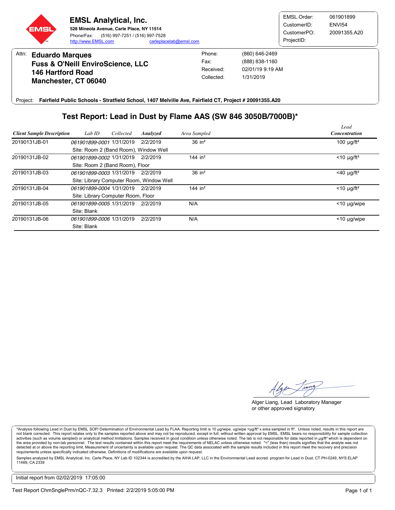

Attn: **Eduardo Marques Fuss & O'Neill EnviroScience, LLC 146 Hartford Road Manchester, CT 06040** Received: 02/01/19 9:19 AM Fax: (888) 838-1160 Phone: (860) 646-2469 Collected: 1/31/2019

**Fairfield Public Schools - Stratfield School, 1407 Melville Ave, Fairfield CT, Project # 20091355.A20** Project:

## **Test Report: Lead in Dust by Flame AAS (SW 846 3050B/7000B)\***

| <b>Client Sample Description</b> | Lab ID                                   | Collected | Analyzed | Area Sampled          | Lead<br><b>Concentration</b> |  |  |
|----------------------------------|------------------------------------------|-----------|----------|-----------------------|------------------------------|--|--|
| 20190131JB-01                    | 061901899-0001 1/31/2019                 |           | 2/2/2019 | $36$ in <sup>2</sup>  | 100 $\mu$ g/ft <sup>2</sup>  |  |  |
|                                  | Site: Room 2 (Band Room), Window Well    |           |          |                       |                              |  |  |
| 20190131JB-02                    | 061901899-0002 1/31/2019                 |           | 2/2/2019 | 144 in $2$            | $<$ 10 µg/ft <sup>2</sup>    |  |  |
|                                  | Site: Room 2 (Band Room), Floor          |           |          |                       |                              |  |  |
| 20190131JB-03                    | 061901899-0003 1/31/2019                 |           | 2/2/2019 | $36$ in <sup>2</sup>  | $<$ 40 µg/ft <sup>2</sup>    |  |  |
|                                  | Site: Library Computer Room, Window Well |           |          |                       |                              |  |  |
| 20190131JB-04                    | 061901899-0004 1/31/2019                 |           | 2/2/2019 | $144$ in <sup>2</sup> | $<$ 10 µg/ft <sup>2</sup>    |  |  |
|                                  | Site: Library Computer Room, Floor       |           |          |                       |                              |  |  |
| 20190131JB-05                    | 061901899-0005 1/31/2019                 |           | 2/2/2019 | N/A                   | $<$ 10 µg/wipe               |  |  |
|                                  | Site: Blank                              |           |          |                       |                              |  |  |
| 20190131JB-06                    | 061901899-0006 1/31/2019                 |           | 2/2/2019 | N/A                   | $<$ 10 µg/wipe               |  |  |
|                                  | Site: Blank                              |           |          |                       |                              |  |  |

lger Tra

Alger Liang, Lead Laboratory Manager or other approved signatory

\*Analysis following Lead in Dust by EMSL SOP/ Determination of Environmental Lead by FLAA. Reporting limit is 10 µg/wipe. ug/wipe =µg/ft? x area sampled in ft?. Unless noted, results in this report are<br>not blank corrected activities (such as volume sampled) or analytical method limitations. Samples received in good condition unless otherwise noted. The lab is not responsible for data reported in µg/ft² which is dependent on the area provided by non-lab personnel. The test results contained within this report meet the requirements of NELAC unless otherwise noted. "<" (less than) results signifies that the analyte was not<br>detected at or above t requirements unless specifically indicated otherwise. Definitions of modifications are available upon request.

Samples analyzed by EMSL Analytical, Inc. Carle Place, NY Lab ID 102344 is accredited by the AIHA LAP, LLC in the Environmental Lead accred. program for Lead in Dust, CT PH-0249, NYS ELAP 11469, CA 2339

Initial report from 02/02/2019 17:05:00